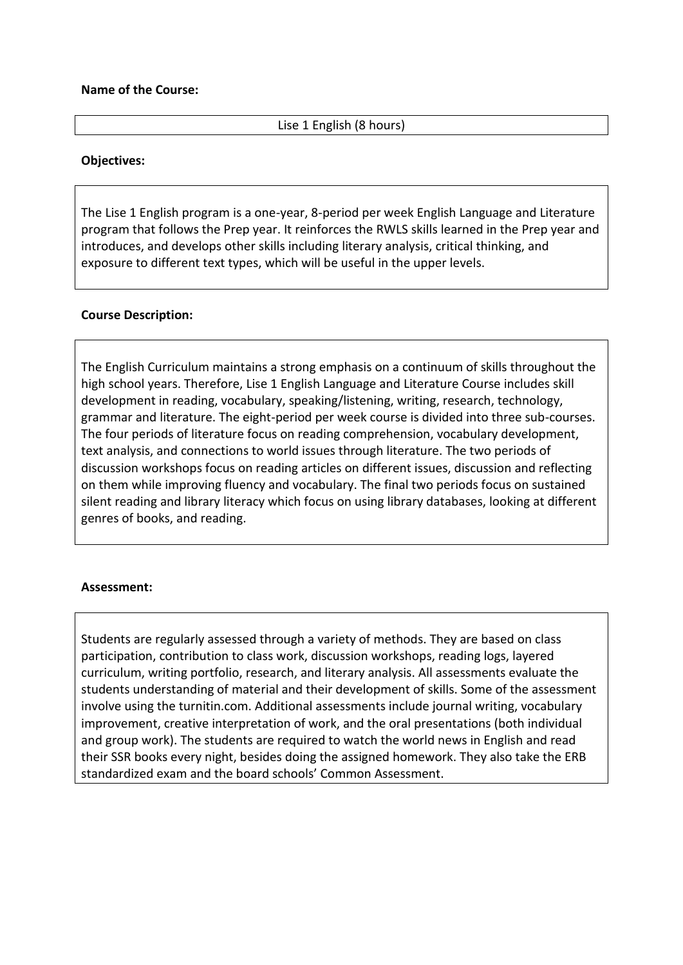## **Name of the Course:**

# Lise 1 English (8 hours)

## **Objectives:**

The Lise 1 English program is a one-year, 8-period per week English Language and Literature program that follows the Prep year. It reinforces the RWLS skills learned in the Prep year and introduces, and develops other skills including literary analysis, critical thinking, and exposure to different text types, which will be useful in the upper levels.

## **Course Description:**

The English Curriculum maintains a strong emphasis on a continuum of skills throughout the high school years. Therefore, Lise 1 English Language and Literature Course includes skill development in reading, vocabulary, speaking/listening, writing, research, technology, grammar and literature. The eight-period per week course is divided into three sub-courses. The four periods of literature focus on reading comprehension, vocabulary development, text analysis, and connections to world issues through literature. The two periods of discussion workshops focus on reading articles on different issues, discussion and reflecting on them while improving fluency and vocabulary. The final two periods focus on sustained silent reading and library literacy which focus on using library databases, looking at different genres of books, and reading.

#### **Assessment:**

Students are regularly assessed through a variety of methods. They are based on class participation, contribution to class work, discussion workshops, reading logs, layered curriculum, writing portfolio, research, and literary analysis. All assessments evaluate the students understanding of material and their development of skills. Some of the assessment involve using the turnitin.com. Additional assessments include journal writing, vocabulary improvement, creative interpretation of work, and the oral presentations (both individual and group work). The students are required to watch the world news in English and read their SSR books every night, besides doing the assigned homework. They also take the ERB standardized exam and the board schools' Common Assessment.